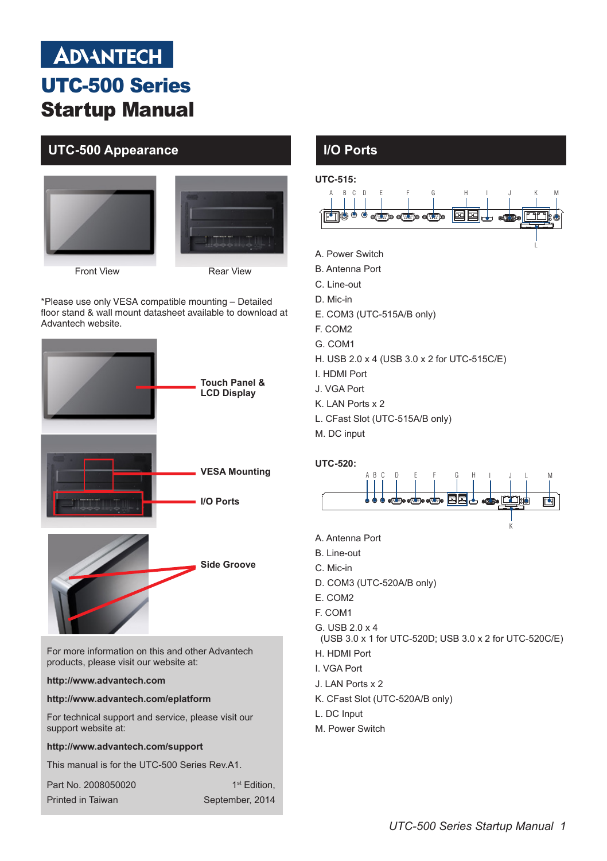# **ADVANTECH** UTC-500 Series Startup Manual

# **UTC-500 Appearance I/O Ports**





Front View Rear View

\*Please use only VESA compatible mounting – Detailed floor stand & wall mount datasheet available to download at Advantech website.



### **http://www.advantech.com/support**

This manual is for the UTC-500 Series Rev.A1.

| Part No. 2008050020 | 1 <sup>st</sup> Edition. |
|---------------------|--------------------------|
| Printed in Taiwan   | September, 2014          |



- (USB 3.0 x 1 for UTC-520D; USB 3.0 x 2 for UTC-520C/E)
- H. HDMI Port

I. VGA Port

- J. LAN Ports x 2
- K. CFast Slot (UTC-520A/B only)
- L. DC Input
- M. Power Switch